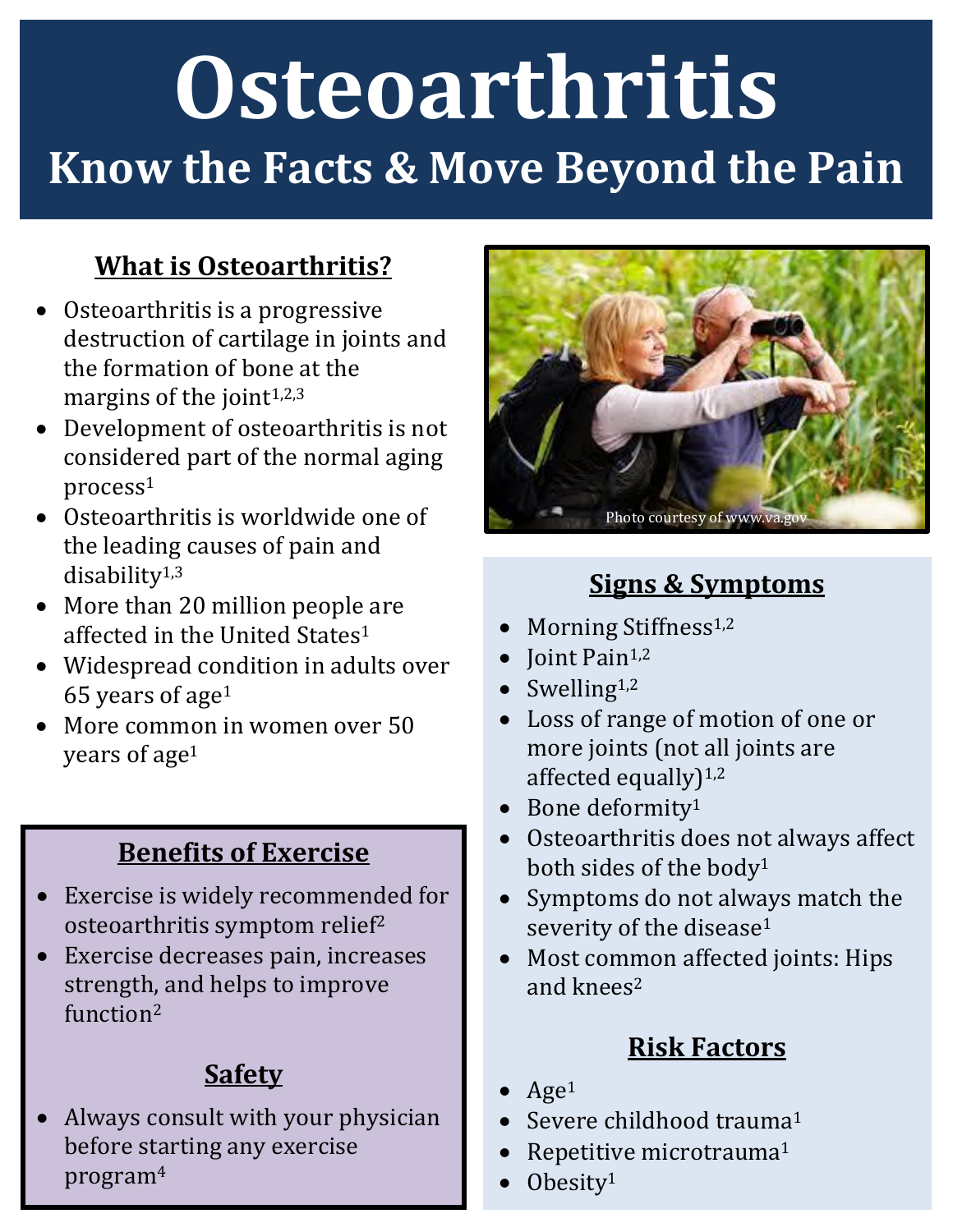# **Osteoarthritis Know the Facts & Move Beyond the Pain**

#### **What is Osteoarthritis?**

- Osteoarthritis is a progressive destruction of cartilage in joints and the formation of bone at the margins of the joint<sup>1,2,3</sup>
- Development of osteoarthritis is not considered part of the normal aging process<sup>1</sup>
- Osteoarthritis is worldwide one of the leading causes of pain and disability1,3
- More than 20 million people are affected in the United States<sup>1</sup>
- Widespread condition in adults over 65 years of age<sup>1</sup>
- More common in women over 50 years of age<sup>1</sup>

#### **Benefits of Exercise**

- Exercise is widely recommended for osteoarthritis symptom relief<sup>2</sup>
- Exercise decreases pain, increases strength, and helps to improve function<sup>2</sup>

### **Safety**

 Always consult with your physician before starting any exercise program<sup>4</sup>



#### **Signs & Symptoms**

- Morning Stiffness<sup>1,2</sup>
- $\bullet$  Joint Pain<sup>1,2</sup>
- $\bullet$  Swelling<sup>1,2</sup>
- Loss of range of motion of one or more joints (not all joints are affected equally $)^{1,2}$
- Bone deformity<sup>1</sup>
- Osteoarthritis does not always affect both sides of the body<sup>1</sup>
- Symptoms do not always match the severity of the disease<sup>1</sup>
- Most common affected joints: Hips and knees<sup>2</sup>

#### **Risk Factors**

- Age<sup>1</sup>
- Severe childhood trauma<sup>1</sup>
- Repetitive microtrauma<sup>1</sup>
- Obesity<sup>1</sup>